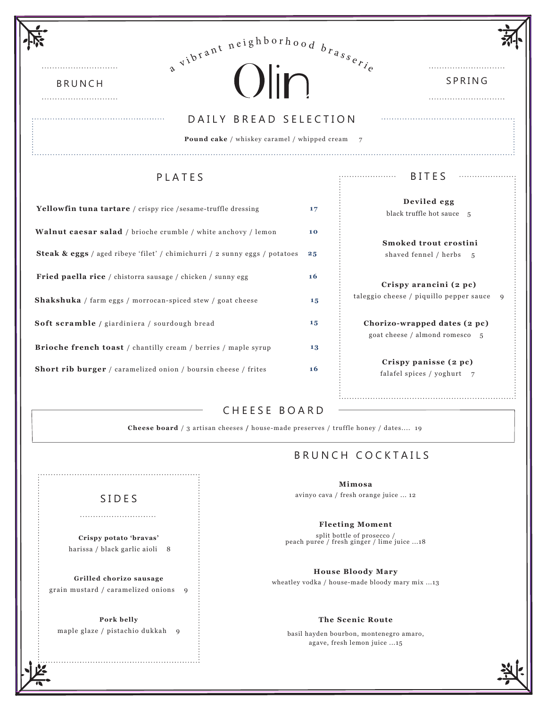| $e^{ \pi i b t^{\alpha n t}}$ neighborhood $b_{r_{a_{s_{e_{r_{i}}}}}}$         |    |                                                                |
|--------------------------------------------------------------------------------|----|----------------------------------------------------------------|
| $O$ $\overline{m}$<br><b>BRUNCH</b>                                            |    | SPRING                                                         |
| DAILY BREAD SELECTION<br><b>Pound cake</b> / whiskey caramel / whipped cream 7 |    |                                                                |
| <b>PLATES</b>                                                                  |    | <b>BITES</b><br>.                                              |
| <b>Yellowfin tuna tartare</b> / crispy rice /sesame-truffle dressing           | 17 | Deviled egg<br>black truffle hot sauce 5                       |
| <b>Walnut caesar salad</b> / brioche crumble / white anchovy / lemon           | 10 | Smoked trout crostini                                          |
| Steak & eggs / aged ribeye 'filet' / chimichurri / 2 sunny eggs / potatoes     |    | shaved fennel / herbs 5                                        |
| Fried paella rice / chistorra sausage / chicken / sunny egg                    | 16 | Crispy arancini (2 pc)                                         |
| <b>Shakshuka</b> / farm eggs / morrocan-spiced stew / goat cheese              | 15 | taleggio cheese / piquillo pepper sauce<br>9                   |
| Soft scramble / giardiniera / sourdough bread                                  | 15 | Chorizo-wrapped dates (2 pc)<br>goat cheese / almond romesco 5 |
| <b>Brioche french toast</b> / chantilly cream / berries / maple syrup          | 13 |                                                                |
| <b>Short rib burger</b> / caramelized onion / boursin cheese / frites          | 16 | Crispy panisse (2 pc)<br>falafel spices / yoghurt 7            |

## CHEESE BOARD

**Cheese board** / 3 artisan cheeses **/** house-made preserves / truffle honey / dates.... 19

# BRUNCH COCKTAILS

**Mimosa**  avinyo cava / fresh orange juice ... 12

#### **Fleeting Moment**

split bottle of prosecco / peach puree / fresh ginger / lime juice ...18

**House Bloody Mary** wheatley vodka / house-made bloody mary mix ...13

### **The Scenic Route**

basil hayden bourbon, montenegro amaro, agave, fresh lemon juice ...15

## SIDES

**Crispy potato 'bravas'** harissa / black garlic aioli 8

**Grilled chorizo sausage** grain mustard / caramelized onions 9

**Pork belly** maple glaze / pistachio dukkah 9